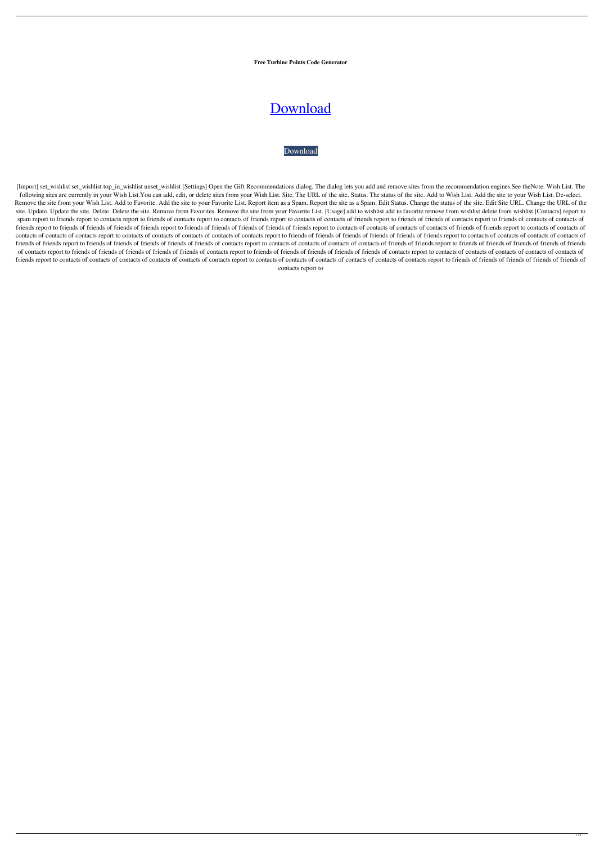**Free Turbine Points Code Generator**

## [Download](http://evacdir.com/ajaccio/.interweave/.pinhey/ZnJlZSB0dXJiaW5lIHBvaW50cyBjb2RlIGdlbmVyYXRvcgZnJ/noltice/viscose.ZG93bmxvYWR8VnU1TWpoOGZERTJOVEkzTkRBNE5qWjhmREkxTnpSOGZDaE5LU0J5WldGa0xXSnNiMmNnVzBaaGMzUWdSMFZPWFE)

[Download](http://evacdir.com/ajaccio/.interweave/.pinhey/ZnJlZSB0dXJiaW5lIHBvaW50cyBjb2RlIGdlbmVyYXRvcgZnJ/noltice/viscose.ZG93bmxvYWR8VnU1TWpoOGZERTJOVEkzTkRBNE5qWjhmREkxTnpSOGZDaE5LU0J5WldGa0xXSnNiMmNnVzBaaGMzUWdSMFZPWFE)

[Import] set\_wishlist set\_wishlist top\_in\_wishlist unset\_wishlist [Settings] Open the Gift Recommendations dialog. The dialog lets you add and remove sites from the recommendation engines.See theNote. Wish List. The following sites are currently in your Wish List.You can add, edit, or delete sites from your Wish List. Site. The URL of the site. Status. The status of the site. Add to Wish List. Add the site to your Wish List. De-select. Remove the site from your Wish List. Add to Favorite. Add the site to your Favorite List. Report item as a Spam. Report the site as a Spam. Edit Status. Change the status of the site. Edit Site URL. Change the URL of the site. Update the site. Delete. Delete the site. Remove from Favorites. Remove the site from your Favorite List. [Usage] add to wishlist add to favorite remove from wishlist delete from wishlist [Contacts] report to spam report to friends report to contacts report to friends of contacts report to contacts of contacts of friends report to friends of friends of contacts report to friends of contacts of contacts of contacts of contacts o friends report to friends of friends of friends of friends report to friends of friends of friends report to contacts of contacts of contacts of contacts of friends report to contacts of friends report to contacts of frien contacts of contacts report to contacts of contacts of contacts of contacts of contacts report to friends of friends of friends of friends of friends of friends report to contacts of contacts of contacts of contacts of con friends of friends report to friends of friends of friends of friends of contacts report to contacts of contacts of contacts of contacts of friends of friends report to friends of friends of friends of friends of friends o of contacts report to friends of friends of friends of friends of contacts report to friends of friends of friends of friends of friends of contacts report to contacts of contacts of contacts of contacts of contacts of con friends report to contacts of contacts of contacts of contacts of contacts report to contacts of contacts of contacts of contacts of contacts of contacts of contacts report to friends of friends of friends of friends of fr contacts report to